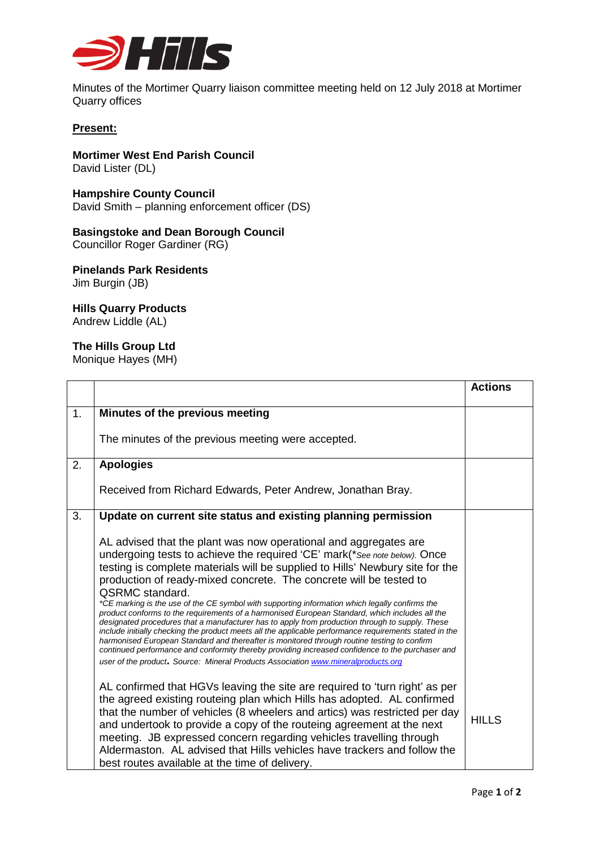

Minutes of the Mortimer Quarry liaison committee meeting held on 12 July 2018 at Mortimer Quarry offices

## **Present:**

**Mortimer West End Parish Council** David Lister (DL)

**Hampshire County Council** David Smith – planning enforcement officer (DS)

## **Basingstoke and Dean Borough Council**

Councillor Roger Gardiner (RG)

**Pinelands Park Residents** Jim Burgin (JB)

## **Hills Quarry Products**

Andrew Liddle (AL)

## **The Hills Group Ltd**

Monique Hayes (MH)

|                |                                                                                                                                                                                                                                                                                                                                                                                                                                                                                                                                                                                                                                                                                                                                                                                                                                                                                                                                                                                                                                          | <b>Actions</b> |
|----------------|------------------------------------------------------------------------------------------------------------------------------------------------------------------------------------------------------------------------------------------------------------------------------------------------------------------------------------------------------------------------------------------------------------------------------------------------------------------------------------------------------------------------------------------------------------------------------------------------------------------------------------------------------------------------------------------------------------------------------------------------------------------------------------------------------------------------------------------------------------------------------------------------------------------------------------------------------------------------------------------------------------------------------------------|----------------|
| 1 <sub>1</sub> | Minutes of the previous meeting                                                                                                                                                                                                                                                                                                                                                                                                                                                                                                                                                                                                                                                                                                                                                                                                                                                                                                                                                                                                          |                |
|                | The minutes of the previous meeting were accepted.                                                                                                                                                                                                                                                                                                                                                                                                                                                                                                                                                                                                                                                                                                                                                                                                                                                                                                                                                                                       |                |
| 2.             | <b>Apologies</b>                                                                                                                                                                                                                                                                                                                                                                                                                                                                                                                                                                                                                                                                                                                                                                                                                                                                                                                                                                                                                         |                |
|                | Received from Richard Edwards, Peter Andrew, Jonathan Bray.                                                                                                                                                                                                                                                                                                                                                                                                                                                                                                                                                                                                                                                                                                                                                                                                                                                                                                                                                                              |                |
| 3.             | Update on current site status and existing planning permission                                                                                                                                                                                                                                                                                                                                                                                                                                                                                                                                                                                                                                                                                                                                                                                                                                                                                                                                                                           |                |
|                | AL advised that the plant was now operational and aggregates are<br>undergoing tests to achieve the required 'CE' mark(* See note below). Once<br>testing is complete materials will be supplied to Hills' Newbury site for the<br>production of ready-mixed concrete. The concrete will be tested to<br><b>QSRMC</b> standard.<br>*CE marking is the use of the CE symbol with supporting information which legally confirms the<br>product conforms to the requirements of a harmonised European Standard, which includes all the<br>designated procedures that a manufacturer has to apply from production through to supply. These<br>include initially checking the product meets all the applicable performance requirements stated in the<br>harmonised European Standard and thereafter is monitored through routine testing to confirm<br>continued performance and conformity thereby providing increased confidence to the purchaser and<br>user of the product. Source: Mineral Products Association www.mineralproducts.org |                |
|                | AL confirmed that HGVs leaving the site are required to 'turn right' as per<br>the agreed existing routeing plan which Hills has adopted. AL confirmed<br>that the number of vehicles (8 wheelers and artics) was restricted per day<br>and undertook to provide a copy of the routeing agreement at the next<br>meeting. JB expressed concern regarding vehicles travelling through<br>Aldermaston. AL advised that Hills vehicles have trackers and follow the<br>best routes available at the time of delivery.                                                                                                                                                                                                                                                                                                                                                                                                                                                                                                                       | <b>HILLS</b>   |